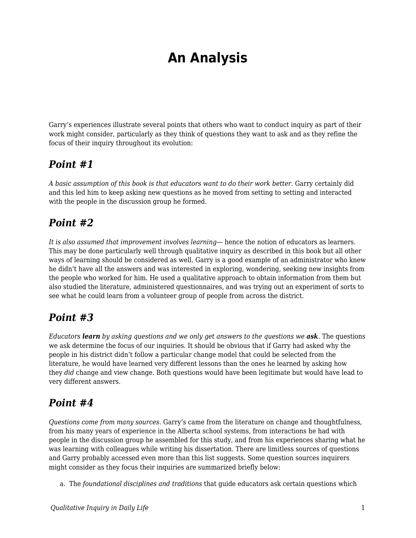# **An Analysis**

Garry's experiences illustrate several points that others who want to conduct inquiry as part of their work might consider, particularly as they think of questions they want to ask and as they refine the focus of their inquiry throughout its evolution:

### *Point #1*

*A basic assumption of this book is that educators want to do their work better.* Garry certainly did and this led him to keep asking new questions as he moved from setting to setting and interacted with the people in the discussion group he formed.

# *Point #2*

*It is also assumed that improvement involves learning*— hence the notion of educators as learners. This may be done particularly well through qualitative inquiry as described in this book but all other ways of learning should be considered as well. Garry is a good example of an administrator who knew he didn't have all the answers and was interested in exploring, wondering, seeking new insights from the people who worked for him. He used a qualitative approach to obtain information from them but also studied the literature, administered questionnaires, and was trying out an experiment of sorts to see what he could learn from a volunteer group of people from across the district.

# *Point #3*

*Educators learn by asking questions and we only get answers to the questions we ask.* The questions we ask determine the focus of our inquiries. It should be obvious that if Garry had asked why the people in his district didn't follow a particular change model that could be selected from the literature, he would have learned very different lessons than the ones he learned by asking how they *did* change and view change. Both questions would have been legitimate but would have lead to very different answers.

# *Point #4*

*Questions come from many sources.* Garry's came from the literature on change and thoughtfulness, from his many years of experience in the Alberta school systems, from interactions he had with people in the discussion group he assembled for this study, and from his experiences sharing what he was learning with colleagues while writing his dissertation. There are limitless sources of questions and Garry probably accessed even more than this list suggests. Some question sources inquirers might consider as they focus their inquiries are summarized briefly below:

a. The *foundational disciplines and traditions* that guide educators ask certain questions which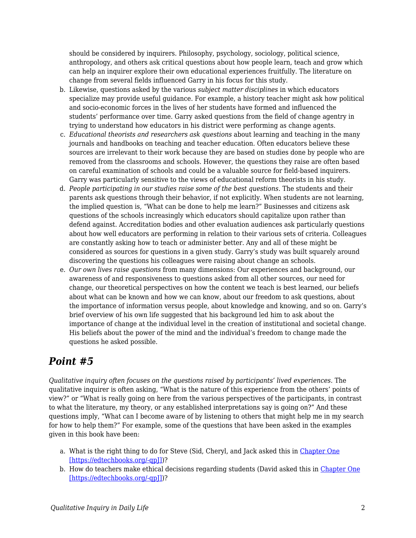should be considered by inquirers. Philosophy, psychology, sociology, political science, anthropology, and others ask critical questions about how people learn, teach and grow which can help an inquirer explore their own educational experiences fruitfully. The literature on change from several fields influenced Garry in his focus for this study.

- b. Likewise, questions asked by the various *subject matter disciplines* in which educators specialize may provide useful guidance. For example, a history teacher might ask how political and socio-economic forces in the lives of her students have formed and influenced the students' performance over time. Garry asked questions from the field of change agentry in trying to understand how educators in his district were performing as change agents.
- c. *Educational theorists and researchers ask questions* about learning and teaching in the many journals and handbooks on teaching and teacher education. Often educators believe these sources are irrelevant to their work because they are based on studies done by people who are removed from the classrooms and schools. However, the questions they raise are often based on careful examination of schools and could be a valuable source for field-based inquirers. Garry was particularly sensitive to the views of educational reform theorists in his study.
- d. *People participating in our studies raise some of the best questions*. The students and their parents ask questions through their behavior, if not explicitly. When students are not learning, the implied question is, "What can be done to help me learn?" Businesses and citizens ask questions of the schools increasingly which educators should capitalize upon rather than defend against. Accreditation bodies and other evaluation audiences ask particularly questions about how well educators are performing in relation to their various sets of criteria. Colleagues are constantly asking how to teach or administer better. Any and all of these might be considered as sources for questions in a given study. Garry's study was built squarely around discovering the questions his colleagues were raising about change an schools.
- e. *Our own lives raise questions* from many dimensions: Our experiences and background, our awareness of and responsiveness to questions asked from all other sources, our need for change, our theoretical perspectives on how the content we teach is best learned, our beliefs about what can be known and how we can know, about our freedom to ask questions, about the importance of information versus people, about knowledge and knowing, and so on. Garry's brief overview of his own life suggested that his background led him to ask about the importance of change at the individual level in the creation of institutional and societal change. His beliefs about the power of the mind and the individual's freedom to change made the questions he asked possible.

# *Point #5*

*Qualitative inquiry often focuses on the questions raised by participants' lived experiences.* The qualitative inquirer is often asking, "What is the nature of this experience from the others' points of view?" or "What is really going on here from the various perspectives of the participants, in contrast to what the literature, my theory, or any established interpretations say is going on?" And these questions imply, "What can I become aware of by listening to others that might help me in my search for how to help them?" For example, some of the questions that have been asked in the examples given in this book have been:

- a. What is the right thing to do for Steve (Sid, Cheryl, and Jack asked this in [Chapter One](https://edtechbooks.org/qualitativeinquiry/overview) [\[https://edtechbooks.org/-qpJ\]\)](https://edtechbooks.org/qualitativeinquiry/overview)?
- b. How do teachers make ethical decisions regarding students (David asked this in [Chapter One](https://edtechbooks.org/qualitativeinquiry/overview) [\[https://edtechbooks.org/-qpJ\]\)](https://edtechbooks.org/qualitativeinquiry/overview)?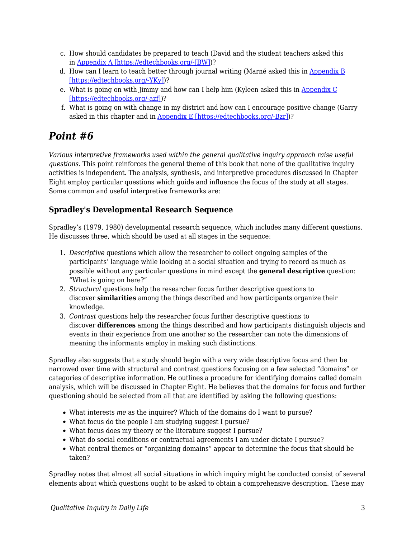- c. How should candidates be prepared to teach (David and the student teachers asked this in [Appendix A \[https://edtechbooks.org/-JBW\]](https://edtechbooks.org/qualitativeinquiry/appendixa))?
- d. How can I learn to teach better through journal writing (Marné asked this in [Appendix B](https://edtechbooks.org/qualitativeinquiry/appendixb) [\[https://edtechbooks.org/-YKy\]](https://edtechbooks.org/qualitativeinquiry/appendixb))?
- e. What is going on with Jimmy and how can I help him (Kyleen asked this in [Appendix C](https://edtechbooks.org/qualitativeinquiry/appendixc) [\[https://edtechbooks.org/-azf\]\)](https://edtechbooks.org/qualitativeinquiry/appendixc)?
- f. What is going on with change in my district and how can I encourage positive change (Garry asked in this chapter and in [Appendix E \[https://edtechbooks.org/-Bzr\]](https://edtechbooks.org/qualitativeinquiry/appendixe))?

### *Point #6*

*Various interpretive frameworks used within the general qualitative inquiry approach raise useful questions.* This point reinforces the general theme of this book that none of the qualitative inquiry activities is independent. The analysis, synthesis, and interpretive procedures discussed in Chapter Eight employ particular questions which guide and influence the focus of the study at all stages. Some common and useful interpretive frameworks are:

### **Spradley's Developmental Research Sequence**

Spradley's (1979, 1980) developmental research sequence, which includes many different questions. He discusses three, which should be used at all stages in the sequence:

- 1. *Descriptive* questions which allow the researcher to collect ongoing samples of the participants' language while looking at a social situation and trying to record as much as possible without any particular questions in mind except the **general descriptive** question: "What is going on here?"
- 2. *Structural* questions help the researcher focus further descriptive questions to discover **similarities** among the things described and how participants organize their knowledge.
- 3. *Contrast* questions help the researcher focus further descriptive questions to discover **differences** among the things described and how participants distinguish objects and events in their experience from one another so the researcher can note the dimensions of meaning the informants employ in making such distinctions.

Spradley also suggests that a study should begin with a very wide descriptive focus and then be narrowed over time with structural and contrast questions focusing on a few selected "domains" or categories of descriptive information. He outlines a procedure for identifying domains called domain analysis, which will be discussed in Chapter Eight. He believes that the domains for focus and further questioning should be selected from all that are identified by asking the following questions:

- What interests *me* as the inquirer? Which of the domains do I want to pursue?
- What focus do the people I am studying suggest I pursue?
- What focus does my theory or the literature suggest I pursue?
- What do social conditions or contractual agreements I am under dictate I pursue?
- What central themes or "organizing domains" appear to determine the focus that should be taken?

Spradley notes that almost all social situations in which inquiry might be conducted consist of several elements about which questions ought to be asked to obtain a comprehensive description. These may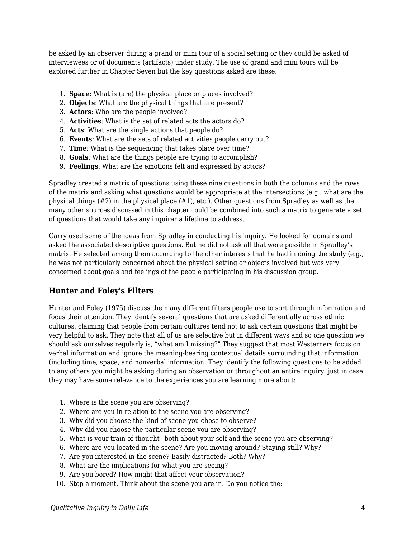be asked by an observer during a grand or mini tour of a social setting or they could be asked of interviewees or of documents (artifacts) under study. The use of grand and mini tours will be explored further in Chapter Seven but the key questions asked are these:

- 1. **Space**: What is (are) the physical place or places involved?
- 2. **Objects**: What are the physical things that are present?
- 3. **Actors**: Who are the people involved?
- 4. **Activities**: What is the set of related acts the actors do?
- 5. **Acts**: What are the single actions that people do?
- 6. **Events**: What are the sets of related activities people carry out?
- 7. **Time**: What is the sequencing that takes place over time?
- 8. **Goals**: What are the things people are trying to accomplish?
- 9. **Feelings**: What are the emotions felt and expressed by actors?

Spradley created a matrix of questions using these nine questions in both the columns and the rows of the matrix and asking what questions would be appropriate at the intersections (e.g., what are the physical things (#2) in the physical place (#1), etc.). Other questions from Spradley as well as the many other sources discussed in this chapter could be combined into such a matrix to generate a set of questions that would take any inquirer a lifetime to address.

Garry used some of the ideas from Spradley in conducting his inquiry. He looked for domains and asked the associated descriptive questions. But he did not ask all that were possible in Spradley's matrix. He selected among them according to the other interests that he had in doing the study (e.g., he was not particularly concerned about the physical setting or objects involved but was very concerned about goals and feelings of the people participating in his discussion group.

#### **Hunter and Foley's Filters**

Hunter and Foley (1975) discuss the many different filters people use to sort through information and focus their attention. They identify several questions that are asked differentially across ethnic cultures, claiming that people from certain cultures tend not to ask certain questions that might be very helpful to ask. They note that all of us are selective but in different ways and so one question we should ask ourselves regularly is, "what am I missing?" They suggest that most Westerners focus on verbal information and ignore the meaning-bearing contextual details surrounding that information (including time, space, and nonverbal information. They identify the following questions to be added to any others you might be asking during an observation or throughout an entire inquiry, just in case they may have some relevance to the experiences you are learning more about:

- 1. Where is the scene you are observing?
- 2. Where are you in relation to the scene you are observing?
- 3. Why did you choose the kind of scene you chose to observe?
- 4. Why did you choose the particular scene you are observing?
- 5. What is your train of thought– both about your self and the scene you are observing?
- 6. Where are you located in the scene? Are you moving around? Staying still? Why?
- 7. Are you interested in the scene? Easily distracted? Both? Why?
- 8. What are the implications for what you are seeing?
- 9. Are you bored? How might that affect your observation?
- 10. Stop a moment. Think about the scene you are in. Do you notice the: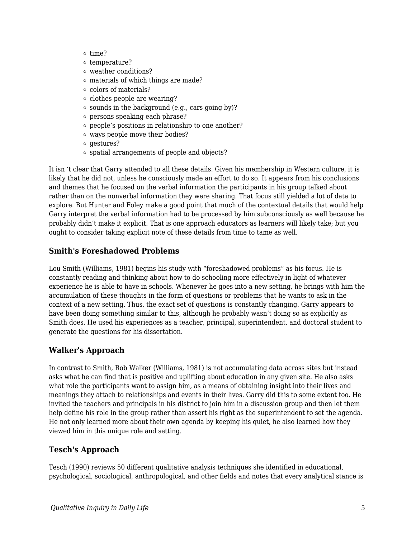- $o$  time?
- $\circ$  temperature?
- weather conditions?
- materials of which things are made?
- colors of materials?
- $\circ$  clothes people are wearing?
- sounds in the background (e.g., cars going by)?
- persons speaking each phrase?
- people's positions in relationship to one another?
- ways people move their bodies?
- $\circ$  gestures?
- spatial arrangements of people and objects?

It isn 't clear that Garry attended to all these details. Given his membership in Western culture, it is likely that he did not, unless he consciously made an effort to do so. It appears from his conclusions and themes that he focused on the verbal information the participants in his group talked about rather than on the nonverbal information they were sharing. That focus still yielded a lot of data to explore. But Hunter and Foley make a good point that much of the contextual details that would help Garry interpret the verbal information had to be processed by him subconsciously as well because he probably didn't make it explicit. That is one approach educators as learners will likely take; but you ought to consider taking explicit note of these details from time to tame as well.

#### **Smith's Foreshadowed Problems**

Lou Smith (Williams, 1981) begins his study with "foreshadowed problems" as his focus. He is constantly reading and thinking about how to do schooling more effectively in light of whatever experience he is able to have in schools. Whenever he goes into a new setting, he brings with him the accumulation of these thoughts in the form of questions or problems that he wants to ask in the context of a new setting. Thus, the exact set of questions is constantly changing. Garry appears to have been doing something similar to this, although he probably wasn't doing so as explicitly as Smith does. He used his experiences as a teacher, principal, superintendent, and doctoral student to generate the questions for his dissertation.

#### **Walker's Approach**

In contrast to Smith, Rob Walker (Williams, 1981) is not accumulating data across sites but instead asks what he can find that is positive and uplifting about education in any given site. He also asks what role the participants want to assign him, as a means of obtaining insight into their lives and meanings they attach to relationships and events in their lives. Garry did this to some extent too. He invited the teachers and principals in his district to join him in a discussion group and then let them help define his role in the group rather than assert his right as the superintendent to set the agenda. He not only learned more about their own agenda by keeping his quiet, he also learned how they viewed him in this unique role and setting.

#### **Tesch's Approach**

Tesch (1990) reviews 50 different qualitative analysis techniques she identified in educational, psychological, sociological, anthropological, and other fields and notes that every analytical stance is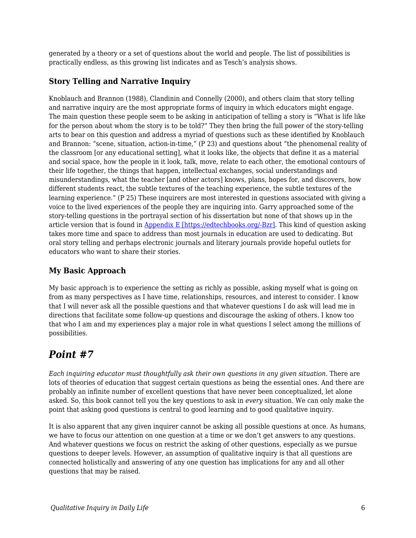generated by a theory or a set of questions about the world and people. The list of possibilities is practically endless, as this growing list indicates and as Tesch's analysis shows.

### **Story Telling and Narrative Inquiry**

Knoblauch and Brannon (1988), Clandinin and Connelly (2000), and others claim that story telling and narrative inquiry are the most appropriate forms of inquiry in which educators might engage. The main question these people seem to be asking in anticipation of telling a story is "What is life like for the person about whom the story is to be told?" They then bring the full power of the story-telling arts to bear on this question and address a myriad of questions such as these identified by Knoblauch and Brannon: "scene, situation, action-in-time," (P 23) and questions about "the phenomenal reality of the classroom [or any educational setting], what it looks like, the objects that define it as a material and social space, how the people in it look, talk, move, relate to each other, the emotional contours of their life together, the things that happen, intellectual exchanges, social understandings and misunderstandings, what the teacher [and other actors] knows, plans, hopes for, and discovers, how different students react, the subtle textures of the teaching experience, the subtle textures of the learning experience." (P 25) These inquirers are most interested in questions associated with giving a voice to the lived experiences of the people they are inquiring into. Garry approached some of the story-telling questions in the portrayal section of his dissertation but none of that shows up in the article version that is found in [Appendix E \[https://edtechbooks.org/-Bzr\].](https://edtechbooks.org/qualitativeinquiry/appendixe) This kind of question asking takes more time and space to address than most journals in education are used to dedicating. But oral story telling and perhaps electronic journals and literary journals provide hopeful outlets for educators who want to share their stories.

### **My Basic Approach**

My basic approach is to experience the setting as richly as possible, asking myself what is going on from as many perspectives as I have time, relationships, resources, and interest to consider. I know that I will never ask all the possible questions and that whatever questions I do ask will lead me in directions that facilitate some follow-up questions and discourage the asking of others. I know too that who I am and my experiences play a major role in what questions I select among the millions of possibilities.

# *Point #7*

*Each inquiring educator must thoughtfully ask their own questions in any given situation.* There are lots of theories of education that suggest certain questions as being the essential ones. And there are probably an infinite number of excellent questions that have never been conceptualized, let alone asked. So, this book cannot tell you the key questions to ask in *every* situation. We can only make the point that asking good questions is central to good learning and to good qualitative inquiry.

It is also apparent that any given inquirer cannot be asking all possible questions at once. As humans, we have to focus our attention on one question at a time or we don't get answers to any questions. And whatever questions we focus on restrict the asking of other questions, especially as we pursue questions to deeper levels. However, an assumption of qualitative inquiry is that all questions are connected holistically and answering of any one question has implications for any and all other questions that may be raised.